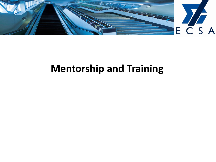

## **Mentorship and Training**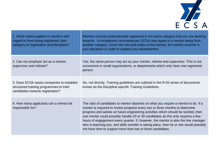

| 1. What criteria applies to mentors with<br>regard to them being registered, their<br>category of registration and discipline? | Mentors must be professionally registered in the same category that you are working<br>towards. In exceptional circumstances, ECSA may agree to a mentor being from<br>another category. Given the role and duties of the mentor, the mentor must be in<br>your discipline in order to support your development.                                                                                                                                                                                                                                                                              |
|--------------------------------------------------------------------------------------------------------------------------------|-----------------------------------------------------------------------------------------------------------------------------------------------------------------------------------------------------------------------------------------------------------------------------------------------------------------------------------------------------------------------------------------------------------------------------------------------------------------------------------------------------------------------------------------------------------------------------------------------|
| 2. Can my employer act as a mentor,<br>supervisor and referee?                                                                 | Yes, the same person may act as your mentor, referee and supervisor. This is not<br>uncommon in small organisations, or departments which only have one registered<br>person.                                                                                                                                                                                                                                                                                                                                                                                                                 |
| 3. Does ECSA assist companies to establish<br>structured training programmes to train<br>candidates towards registration?      | No, not directly. Training guidelines are outlined in the R-05 series of documents<br>known as the Discipline-specific Training Guidelines.                                                                                                                                                                                                                                                                                                                                                                                                                                                   |
| 4. How many applicants can a mentor be<br>responsible for?                                                                     | The ratio of candidates to mentor depends on what you require a mentor to do. If a<br>mentor is required to review progress every two or three months to determine<br>progress and advise on future engineering activities which should be tackled, then<br>one mentor could possibly handle 20 or 30 candidates as this only requires a few<br>hours of engagement every quarter. If, however, the mentor is also the line manager<br>who is teaching you, and skills transfer is taking place, then he or she would possibly<br>not have time to support more than two or three candidates. |